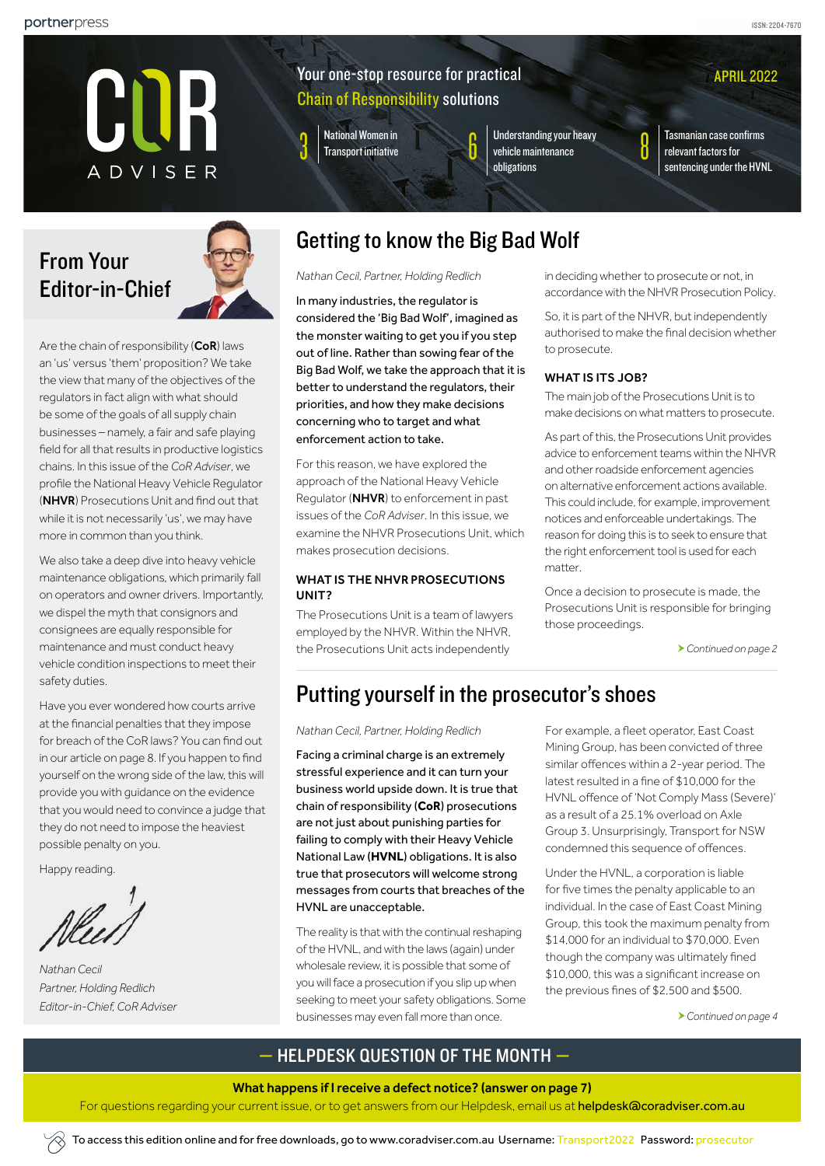APRIL 2022



# Your one-stop resource for practical Chain of Responsibility solutions

National Women in<br>Transport initiative

Understanding your heavy [vehicle maintenance](#page-5-0)  [obligations](#page-5-0)

National Women in **Confirmed Area** Understanding your heavy<br>[Transport initiative](#page-2-0) **8 Tasmanian case confirms**<br>contensing under the UVA of the contensing under the UVA [relevant factors for](#page-7-0)  [sentencing under the HVNL](#page-7-0)

From Your Editor-in-Chief



Are the chain of responsibility  $(CoR)$  laws an 'us' versus 'them' proposition? We take the view that many of the objectives of the regulators in fact align with what should be some of the goals of all supply chain businesses – namely, a fair and safe playing field for all that results in productive logistics chains. In this issue of the *CoR Adviser*, we profile the National Heavy Vehicle Regulator (NHVR) Prosecutions Unit and find out that while it is not necessarily 'us', we may have more in common than you think.

We also take a deep dive into heavy vehicle maintenance obligations, which primarily fall on operators and owner drivers. Importantly, we dispel the myth that consignors and consignees are equally responsible for maintenance and must conduct heavy vehicle condition inspections to meet their safety duties.

Have you ever wondered how courts arrive at the financial penalties that they impose for breach of the CoR laws? You can find out in our article on page 8. If you happen to find yourself on the wrong side of the law, this will provide you with guidance on the evidence that you would need to convince a judge that they do not need to impose the heaviest possible penalty on you.

Happy reading.

*Nathan Cecil Partner, Holding Redlich Editor-in-Chief, CoR Adviser* 

# <span id="page-0-0"></span>Getting to know the Big Bad Wolf

*Nathan Cecil, Partner, Holding Redlich*

In many industries, the regulator is considered the 'Big Bad Wolf', imagined as the monster waiting to get you if you step out of line. Rather than sowing fear of the Big Bad Wolf, we take the approach that it is better to understand the regulators, their priorities, and how they make decisions concerning who to target and what enforcement action to take.

For this reason, we have explored the approach of the National Heavy Vehicle Regulator (NHVR) to enforcement in past issues of the *CoR Adviser*. In this issue, we examine the NHVR Prosecutions Unit, which makes prosecution decisions.

### WHAT IS THE NHVR PROSECUTIONS UNIT?

The Prosecutions Unit is a team of lawyers employed by the NHVR. Within the NHVR, the Prosecutions Unit acts independently

in deciding whether to prosecute or not, in accordance with the NHVR Prosecution Policy.

So, it is part of the NHVR, but independently authorised to make the final decision whether to prosecute.

### WHAT IS ITS JOB?

The main job of the Prosecutions Unit is to make decisions on what matters to prosecute.

As part of this, the Prosecutions Unit provides advice to enforcement teams within the NHVR and other roadside enforcement agencies on alternative enforcement actions available. This could include, for example, improvement notices and enforceable undertakings. The reason for doing this is to seek to ensure that the right enforcement tool is used for each matter.

Once a decision to prosecute is made, the Prosecutions Unit is responsible for bringing those proceedings.

*[Continued on page 2](#page-1-0)*

# <span id="page-0-1"></span>Putting yourself in the prosecutor's shoes

*Nathan Cecil, Partner, Holding Redlich*

Facing a criminal charge is an extremely stressful experience and it can turn your business world upside down. It is true that chain of responsibility (**CoR**) prosecutions are not just about punishing parties for failing to comply with their Heavy Vehicle National Law (**HVNL**) obligations. It is also true that prosecutors will welcome strong messages from courts that breaches of the HVNL are unacceptable.

The reality is that with the continual reshaping of the HVNL, and with the laws (again) under wholesale review, it is possible that some of you will face a prosecution if you slip up when seeking to meet your safety obligations. Some businesses may even fall more than once.

For example, a fleet operator, East Coast Mining Group, has been convicted of three similar offences within a 2-year period. The latest resulted in a fine of \$10,000 for the HVNL offence of 'Not Comply Mass (Severe)' as a result of a 25.1% overload on Axle Group 3. Unsurprisingly, Transport for NSW condemned this sequence of offences.

Under the HVNL, a corporation is liable for five times the penalty applicable to an individual. In the case of East Coast Mining Group, this took the maximum penalty from \$14,000 for an individual to \$70,000. Even though the company was ultimately fined \$10,000, this was a significant increase on the previous fines of \$2,500 and \$500.

*[Continued on page 4](#page-3-0)*

# — HELPDESK QUESTION OF THE MONTH —

#### What happens if I receive a defect notice? [\(answer on page 7\)](#page-6-0)

For questions regarding your current issue, or to get answers from our Helpdesk, email us at [helpdesk@coradviser.com.au](mailto:helpdesk%40coradviser.com.au?subject=)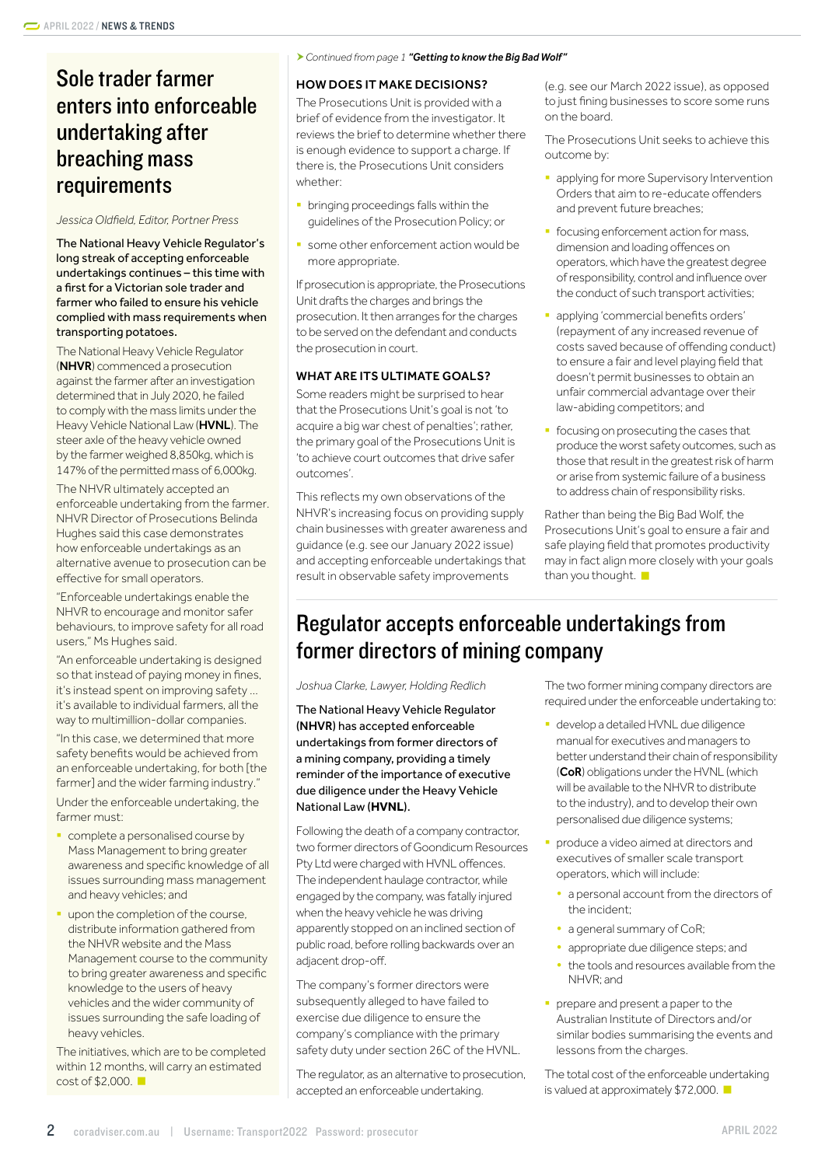# Sole trader farmer enters into enforceable undertaking after breaching mass requirements

#### *Jessica Oldfield, Editor, Portner Press*

The National Heavy Vehicle Regulator's long streak of accepting enforceable undertakings continues – this time with a first for a Victorian sole trader and farmer who failed to ensure his vehicle complied with mass requirements when transporting potatoes.

The National Heavy Vehicle Regulator (NHVR) commenced a prosecution against the farmer after an investigation determined that in July 2020, he failed to comply with the mass limits under the Heavy Vehicle National Law (HVNL). The steer axle of the heavy vehicle owned by the farmer weighed 8,850kg, which is 147% of the permitted mass of 6,000kg.

The NHVR ultimately accepted an enforceable undertaking from the farmer. NHVR Director of Prosecutions Belinda Hughes said this case demonstrates how enforceable undertakings as an alternative avenue to prosecution can be effective for small operators.

"Enforceable undertakings enable the NHVR to encourage and monitor safer behaviours, to improve safety for all road users," Ms Hughes said.

"An enforceable undertaking is designed so that instead of paying money in fines, it's instead spent on improving safety … it's available to individual farmers, all the way to multimillion-dollar companies.

"In this case, we determined that more safety benefits would be achieved from an enforceable undertaking, for both [the farmer] and the wider farming industry."

Under the enforceable undertaking, the farmer must:

- § complete a personalised course by Mass Management to bring greater awareness and specific knowledge of all issues surrounding mass management and heavy vehicles; and
- upon the completion of the course, distribute information gathered from the NHVR website and the Mass Management course to the community to bring greater awareness and specific knowledge to the users of heavy vehicles and the wider community of issues surrounding the safe loading of heavy vehicles.

The initiatives, which are to be completed within 12 months, will carry an estimated cost of \$2,000.

#### <span id="page-1-0"></span>*Continued from page 1 ["Getting to know the Big Bad Wolf"](#page-0-0)*

### HOW DOES IT MAKE DECISIONS?

The Prosecutions Unit is provided with a brief of evidence from the investigator. It reviews the brief to determine whether there is enough evidence to support a charge. If there is, the Prosecutions Unit considers whether:

- **•** bringing proceedings falls within the guidelines of the Prosecution Policy; or
- some other enforcement action would be more appropriate.

If prosecution is appropriate, the Prosecutions Unit drafts the charges and brings the prosecution. It then arranges for the charges to be served on the defendant and conducts the prosecution in court.

#### WHAT ARE ITS ULTIMATE GOALS?

Some readers might be surprised to hear that the Prosecutions Unit's goal is not 'to acquire a big war chest of penalties'; rather, the primary goal of the Prosecutions Unit is 'to achieve court outcomes that drive safer outcomes'.

This reflects my own observations of the NHVR's increasing focus on providing supply chain businesses with greater awareness and guidance (e.g. see our January 2022 issue) and accepting enforceable undertakings that result in observable safety improvements

(e.g. see our March 2022 issue), as opposed to just fining businesses to score some runs on the board.

The Prosecutions Unit seeks to achieve this outcome by:

- applying for more Supervisory Intervention Orders that aim to re-educate offenders and prevent future breaches;
- focusing enforcement action for mass, dimension and loading offences on operators, which have the greatest degree of responsibility, control and influence over the conduct of such transport activities;
- applying 'commercial benefits orders' (repayment of any increased revenue of costs saved because of offending conduct) to ensure a fair and level playing field that doesn't permit businesses to obtain an unfair commercial advantage over their law-abiding competitors; and
- **•** focusing on prosecuting the cases that produce the worst safety outcomes, such as those that result in the greatest risk of harm or arise from systemic failure of a business to address chain of responsibility risks.

Rather than being the Big Bad Wolf, the Prosecutions Unit's goal to ensure a fair and safe playing field that promotes productivity may in fact align more closely with your goals than you thought.

# Regulator accepts enforceable undertakings from former directors of mining company

*Joshua Clarke, Lawyer, Holding Redlich*

The National Heavy Vehicle Regulator (NHVR) has accepted enforceable undertakings from former directors of a mining company, providing a timely reminder of the importance of executive due diligence under the Heavy Vehicle National Law (**HVNL**).

Following the death of a company contractor, two former directors of Goondicum Resources Pty Ltd were charged with HVNL offences. The independent haulage contractor, while engaged by the company, was fatally injured when the heavy vehicle he was driving apparently stopped on an inclined section of public road, before rolling backwards over an adjacent drop-off.

The company's former directors were subsequently alleged to have failed to exercise due diligence to ensure the company's compliance with the primary safety duty under section 26C of the HVNL.

The regulator, as an alternative to prosecution, accepted an enforceable undertaking.

The two former mining company directors are required under the enforceable undertaking to:

- **•** develop a detailed HVNL due diligence manual for executives and managers to better understand their chain of responsibility (CoR) obligations under the HVNL (which will be available to the NHVR to distribute to the industry), and to develop their own personalised due diligence systems;
- § produce a video aimed at directors and executives of smaller scale transport operators, which will include:
	- a personal account from the directors of the incident;
	- a general summary of CoR;
	- appropriate due diligence steps; and
	- the tools and resources available from the NHVR; and
- **•** prepare and present a paper to the Australian Institute of Directors and/or similar bodies summarising the events and lessons from the charges.

The total cost of the enforceable undertaking is valued at approximately \$72,000.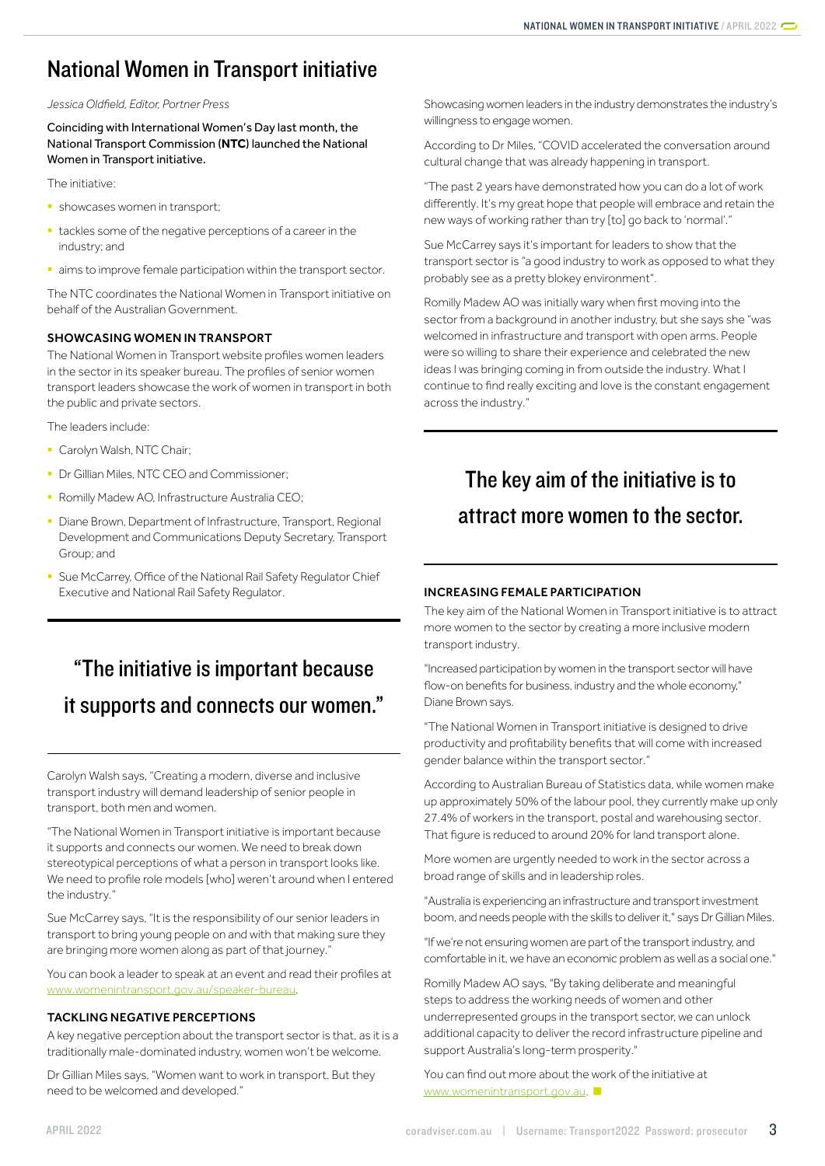# <span id="page-2-0"></span>National Women in Transport initiative

#### *Jessica Oldfield, Editor, Portner Press*

Coinciding with International Women's Day last month, the National Transport Commission (**NTC**) launched the National Women in Transport initiative.

The initiative:

- showcases women in transport:
- tackles some of the negative perceptions of a career in the industry; and
- aims to improve female participation within the transport sector.

The NTC coordinates the National Women in Transport initiative on behalf of the Australian Government.

#### SHOWCASING WOMEN IN TRANSPORT

The National Women in Transport website profiles women leaders in the sector in its speaker bureau. The profiles of senior women transport leaders showcase the work of women in transport in both the public and private sectors.

The leaders include:

- Carolyn Walsh, NTC Chair;
- **Dr Gillian Miles, NTC CEO and Commissioner;**
- **Romilly Madew AO, Infrastructure Australia CEO;**
- Diane Brown, Department of Infrastructure, Transport, Regional Development and Communications Deputy Secretary, Transport Group; and
- Sue McCarrey, Office of the National Rail Safety Regulator Chief Executive and National Rail Safety Regulator.

# "The initiative is important because it supports and connects our women."

Carolyn Walsh says, "Creating a modern, diverse and inclusive transport industry will demand leadership of senior people in transport, both men and women.

"The National Women in Transport initiative is important because it supports and connects our women. We need to break down stereotypical perceptions of what a person in transport looks like. We need to profile role models [who] weren't around when I entered the industry."

Sue McCarrey says, "It is the responsibility of our senior leaders in transport to bring young people on and with that making sure they are bringing more women along as part of that journey."

You can book a leader to speak at an event and read their profiles at [www.womenintransport.gov.au/speaker-bureau](http://www.womenintransport.gov.au/speaker-bureau).

#### TACKLING NEGATIVE PERCEPTIONS

A key negative perception about the transport sector is that, as it is a traditionally male-dominated industry, women won't be welcome.

Dr Gillian Miles says, "Women want to work in transport. But they need to be welcomed and developed."

Showcasing women leaders in the industry demonstrates the industry's willingness to engage women.

According to Dr Miles, "COVID accelerated the conversation around cultural change that was already happening in transport.

"The past 2 years have demonstrated how you can do a lot of work differently. It's my great hope that people will embrace and retain the new ways of working rather than try [to] go back to 'normal'."

Sue McCarrey says it's important for leaders to show that the transport sector is "a good industry to work as opposed to what they probably see as a pretty blokey environment".

Romilly Madew AO was initially wary when first moving into the sector from a background in another industry, but she says she "was welcomed in infrastructure and transport with open arms. People were so willing to share their experience and celebrated the new ideas I was bringing coming in from outside the industry. What I continue to find really exciting and love is the constant engagement across the industry."

# The key aim of the initiative is to attract more women to the sector.

#### INCREASING FEMALE PARTICIPATION

The key aim of the National Women in Transport initiative is to attract more women to the sector by creating a more inclusive modern transport industry.

"Increased participation by women in the transport sector will have flow-on benefits for business, industry and the whole economy," Diane Brown says.

"The National Women in Transport initiative is designed to drive productivity and profitability benefits that will come with increased gender balance within the transport sector."

According to Australian Bureau of Statistics data, while women make up approximately 50% of the labour pool, they currently make up only 27.4% of workers in the transport, postal and warehousing sector. That figure is reduced to around 20% for land transport alone.

More women are urgently needed to work in the sector across a broad range of skills and in leadership roles.

"Australia is experiencing an infrastructure and transport investment boom, and needs people with the skills to deliver it," says Dr Gillian Miles.

"If we're not ensuring women are part of the transport industry, and comfortable in it, we have an economic problem as well as a social one."

Romilly Madew AO says, "By taking deliberate and meaningful steps to address the working needs of women and other underrepresented groups in the transport sector, we can unlock additional capacity to deliver the record infrastructure pipeline and support Australia's long-term prosperity."

You can find out more about the work of the initiative at [www.womenintransport.gov.au.](http://www.womenintransport.gov.au)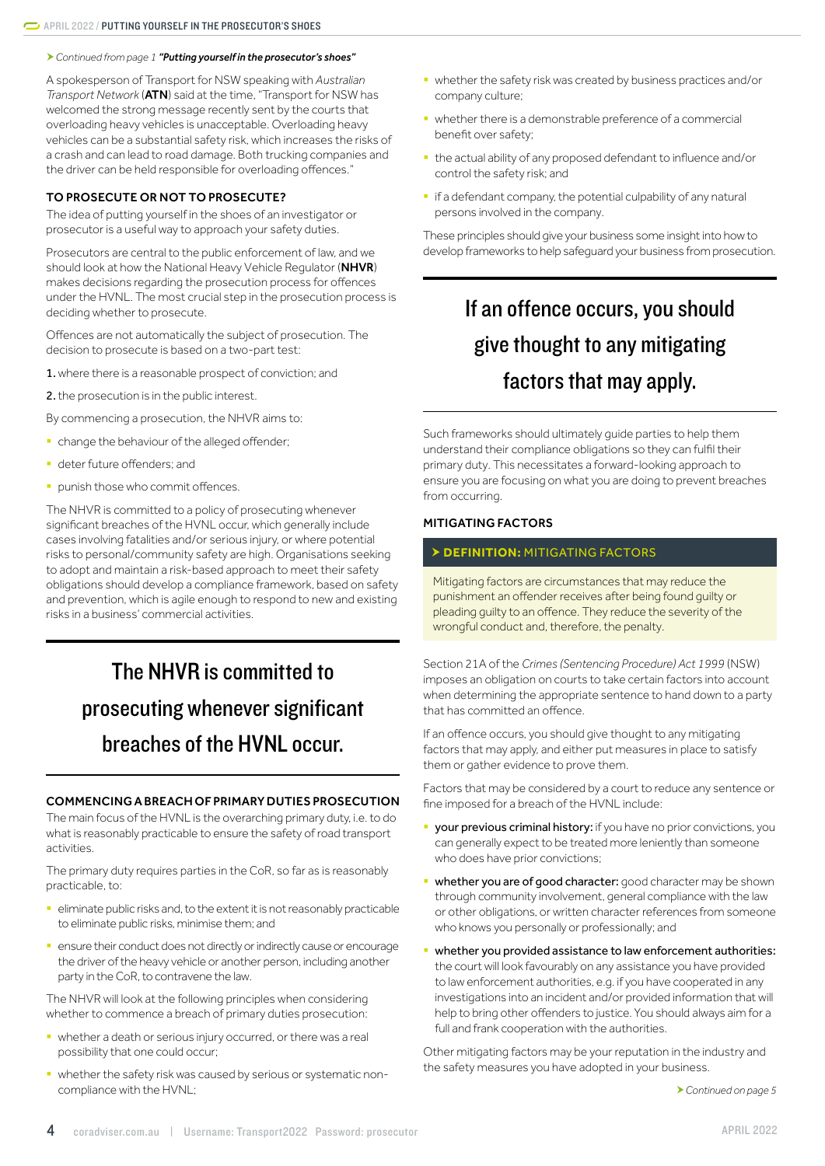<span id="page-3-0"></span>*Continued from page 1 "[Putting yourself in the prosecutor's shoes](#page-0-1)"*

A spokesperson of Transport for NSW speaking with *Australian Transport Network* (ATN) said at the time, "Transport for NSW has welcomed the strong message recently sent by the courts that overloading heavy vehicles is unacceptable. Overloading heavy vehicles can be a substantial safety risk, which increases the risks of a crash and can lead to road damage. Both trucking companies and the driver can be held responsible for overloading offences."

# TO PROSECUTE OR NOT TO PROSECUTE?

The idea of putting yourself in the shoes of an investigator or prosecutor is a useful way to approach your safety duties.

Prosecutors are central to the public enforcement of law, and we should look at how the National Heavy Vehicle Regulator (NHVR) makes decisions regarding the prosecution process for offences under the HVNL. The most crucial step in the prosecution process is deciding whether to prosecute.

Offences are not automatically the subject of prosecution. The decision to prosecute is based on a two-part test:

1.where there is a reasonable prospect of conviction; and

2. the prosecution is in the public interest.

By commencing a prosecution, the NHVR aims to:

- **•** change the behaviour of the alleged offender;
- deter future offenders; and
- **•** punish those who commit offences.

The NHVR is committed to a policy of prosecuting whenever significant breaches of the HVNL occur, which generally include cases involving fatalities and/or serious injury, or where potential risks to personal/community safety are high. Organisations seeking to adopt and maintain a risk-based approach to meet their safety obligations should develop a compliance framework, based on safety and prevention, which is agile enough to respond to new and existing risks in a business' commercial activities.

# The NHVR is committed to prosecuting whenever significant breaches of the HVNL occur.

#### COMMENCING A BREACH OF PRIMARY DUTIES PROSECUTION

The main focus of the HVNL is the overarching primary duty, i.e. to do what is reasonably practicable to ensure the safety of road transport activities.

The primary duty requires parties in the CoR, so far as is reasonably practicable, to:

- **•** eliminate public risks and, to the extent it is not reasonably practicable to eliminate public risks, minimise them; and
- **ensure their conduct does not directly or indirectly cause or encourage** the driver of the heavy vehicle or another person, including another party in the CoR, to contravene the law.

The NHVR will look at the following principles when considering whether to commence a breach of primary duties prosecution:

- § whether a death or serious injury occurred, or there was a real possibility that one could occur;
- § whether the safety risk was caused by serious or systematic noncompliance with the HVNL;
- § whether the safety risk was created by business practices and/or company culture;
- whether there is a demonstrable preference of a commercial benefit over safety;
- § the actual ability of any proposed defendant to influence and/or control the safety risk; and
- **•** if a defendant company, the potential culpability of any natural persons involved in the company.

These principles should give your business some insight into how to develop frameworks to help safeguard your business from prosecution.

# If an offence occurs, you should give thought to any mitigating factors that may apply.

Such frameworks should ultimately guide parties to help them understand their compliance obligations so they can fulfil their primary duty. This necessitates a forward-looking approach to ensure you are focusing on what you are doing to prevent breaches from occurring.

## MITIGATING FACTORS

## **DEFINITION:** MITIGATING FACTORS

Mitigating factors are circumstances that may reduce the punishment an offender receives after being found guilty or pleading guilty to an offence. They reduce the severity of the wrongful conduct and, therefore, the penalty.

Section 21A of the *Crimes (Sentencing Procedure) Act 1999* (NSW) imposes an obligation on courts to take certain factors into account when determining the appropriate sentence to hand down to a party that has committed an offence.

If an offence occurs, you should give thought to any mitigating factors that may apply, and either put measures in place to satisfy them or gather evidence to prove them.

Factors that may be considered by a court to reduce any sentence or fine imposed for a breach of the HVNL include:

- **your previous criminal history:** if you have no prior convictions, you can generally expect to be treated more leniently than someone who does have prior convictions:
- **whether you are of good character:** good character may be shown through community involvement, general compliance with the law or other obligations, or written character references from someone who knows you personally or professionally; and
- whether you provided assistance to law enforcement authorities: the court will look favourably on any assistance you have provided to law enforcement authorities, e.g. if you have cooperated in any investigations into an incident and/or provided information that will help to bring other offenders to justice. You should always aim for a full and frank cooperation with the authorities.

Other mitigating factors may be your reputation in the industry and the safety measures you have adopted in your business.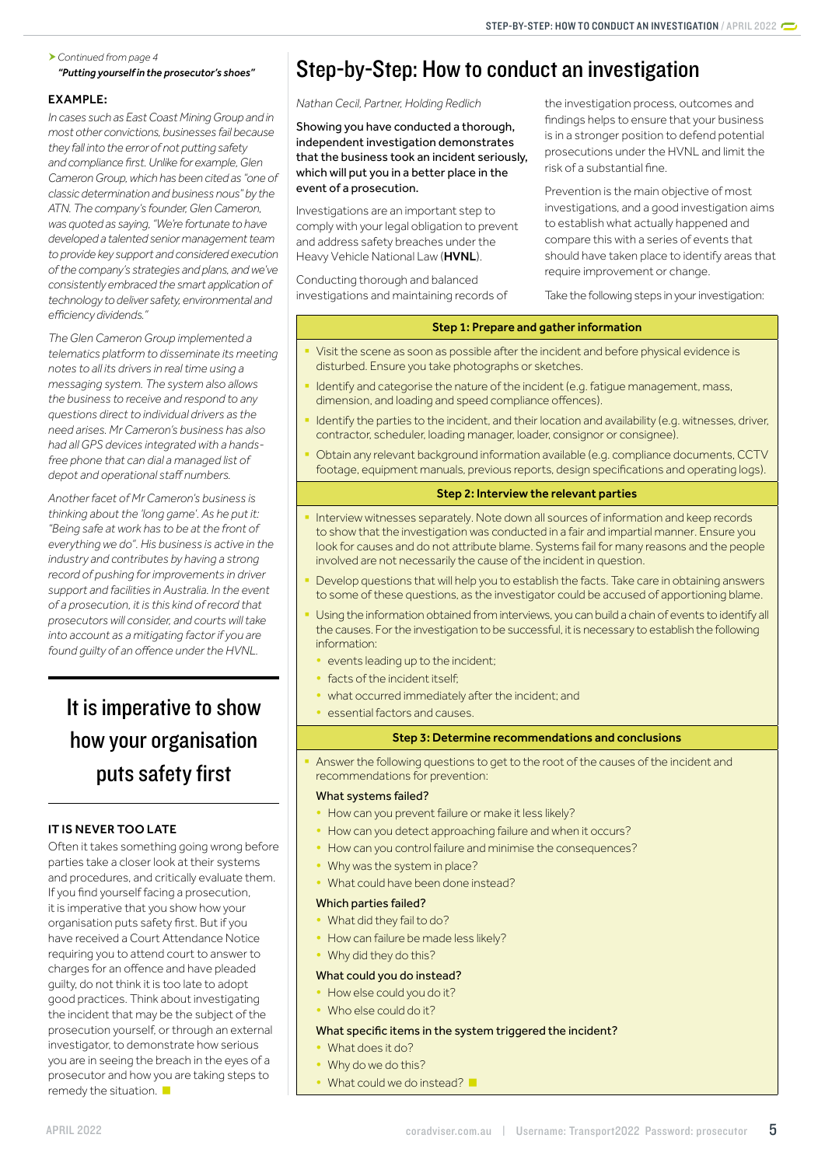### <span id="page-4-0"></span>*Continued from page 4 "[Putting yourself in the prosecutor's shoes"](#page-0-1)*

# EXAMPLE:

*In cases such as East Coast Mining Group and in most other convictions, businesses fail because they fall into the error of not putting safety and compliance first. Unlike for example, Glen Cameron Group, which has been cited as "one of classic determination and business nous" by the ATN. The company's founder, Glen Cameron, was quoted as saying, "We're fortunate to have developed a talented senior management team to provide key support and considered execution of the company's strategies and plans, and we've consistently embraced the smart application of technology to deliver safety, environmental and efficiency dividends."*

*The Glen Cameron Group implemented a telematics platform to disseminate its meeting notes to all its drivers in real time using a messaging system. The system also allows the business to receive and respond to any questions direct to individual drivers as the need arises. Mr Cameron's business has also had all GPS devices integrated with a handsfree phone that can dial a managed list of depot and operational staff numbers.*

*Another facet of Mr Cameron's business is thinking about the 'long game'. As he put it: "Being safe at work has to be at the front of everything we do". His business is active in the industry and contributes by having a strong record of pushing for improvements in driver support and facilities in Australia. In the event of a prosecution, it is this kind of record that prosecutors will consider, and courts will take into account as a mitigating factor if you are found guilty of an offence under the HVNL.* 

# It is imperative to show how your organisation puts safety first

# IT IS NEVER TOO LATE

Often it takes something going wrong before parties take a closer look at their systems and procedures, and critically evaluate them. If you find yourself facing a prosecution, it is imperative that you show how your organisation puts safety first. But if you have received a Court Attendance Notice requiring you to attend court to answer to charges for an offence and have pleaded guilty, do not think it is too late to adopt good practices. Think about investigating the incident that may be the subject of the prosecution yourself, or through an external investigator, to demonstrate how serious you are in seeing the breach in the eyes of a prosecutor and how you are taking steps to remedy the situation.

# <span id="page-4-1"></span>Step-by-Step: How to conduct an investigation

## *Nathan Cecil, Partner, Holding Redlich*

Showing you have conducted a thorough, independent investigation demonstrates that the business took an incident seriously, which will put you in a better place in the event of a prosecution.

Investigations are an important step to comply with your legal obligation to prevent and address safety breaches under the Heavy Vehicle National Law (HVNL).

Conducting thorough and balanced investigations and maintaining records of the investigation process, outcomes and findings helps to ensure that your business is in a stronger position to defend potential prosecutions under the HVNL and limit the risk of a substantial fine.

Prevention is the main objective of most investigations, and a good investigation aims to establish what actually happened and compare this with a series of events that should have taken place to identify areas that require improvement or change.

Take the following steps in your investigation:

# Step 1: Prepare and gather information

- Visit the scene as soon as possible after the incident and before physical evidence is disturbed. Ensure you take photographs or sketches.
- Identify and categorise the nature of the incident (e.g. fatigue management, mass, dimension, and loading and speed compliance offences).
- Identify the parties to the incident, and their location and availability (e.g. witnesses, driver, contractor, scheduler, loading manager, loader, consignor or consignee).
- § Obtain any relevant background information available (e.g. compliance documents, CCTV footage, equipment manuals, previous reports, design specifications and operating logs).

# Step 2: Interview the relevant parties

- Interview witnesses separately. Note down all sources of information and keep records to show that the investigation was conducted in a fair and impartial manner. Ensure you look for causes and do not attribute blame. Systems fail for many reasons and the people involved are not necessarily the cause of the incident in question.
- Develop questions that will help you to establish the facts. Take care in obtaining answers to some of these questions, as the investigator could be accused of apportioning blame.
- Using the information obtained from interviews, you can build a chain of events to identify all the causes. For the investigation to be successful, it is necessary to establish the following information:
	- events leading up to the incident;
	- facts of the incident itself:
	- what occurred immediately after the incident; and
	- y essential factors and causes.

## Step 3: Determine recommendations and conclusions

Answer the following questions to get to the root of the causes of the incident and recommendations for prevention:

## What systems failed?

- How can you prevent failure or make it less likely?
- How can you detect approaching failure and when it occurs?
- How can you control failure and minimise the consequences?
- Why was the system in place?
- What could have been done instead?

#### Which parties failed?

- What did they fail to do?
- How can failure be made less likely?
- Why did they do this?

## What could you do instead?

- How else could you do it?
- Who else could do it?

## What specific items in the system triggered the incident?

- What does it do?
- Why do we do this?
- What could we do instead? ■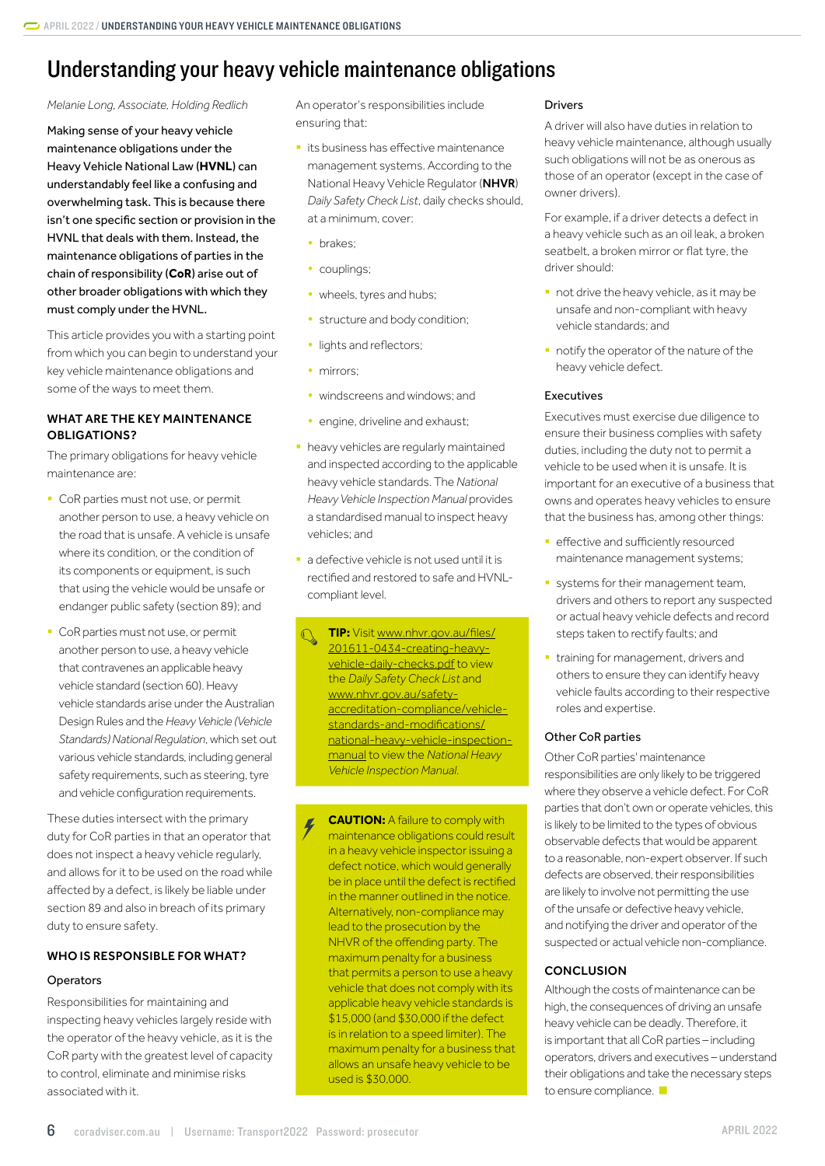# <span id="page-5-0"></span>Understanding your heavy vehicle maintenance obligations

#### *Melanie Long, Associate, Holding Redlich*

Making sense of your heavy vehicle maintenance obligations under the Heavy Vehicle National Law (**HVNL**) can understandably feel like a confusing and overwhelming task. This is because there isn't one specific section or provision in the HVNL that deals with them. Instead, the maintenance obligations of parties in the chain of responsibility (**CoR**) arise out of other broader obligations with which they must comply under the HVNL.

This article provides you with a starting point from which you can begin to understand your key vehicle maintenance obligations and some of the ways to meet them.

### WHAT ARE THE KEY MAINTENANCE OBLIGATIONS?

The primary obligations for heavy vehicle maintenance are:

- CoR parties must not use, or permit another person to use, a heavy vehicle on the road that is unsafe. A vehicle is unsafe where its condition, or the condition of its components or equipment, is such that using the vehicle would be unsafe or endanger public safety (section 89); and
- CoR parties must not use, or permit another person to use, a heavy vehicle that contravenes an applicable heavy vehicle standard (section 60). Heavy vehicle standards arise under the Australian Design Rules and the *Heavy Vehicle (Vehicle Standards) National Regulation*, which set out various vehicle standards, including general safety requirements, such as steering, tyre and vehicle configuration requirements.

These duties intersect with the primary duty for CoR parties in that an operator that does not inspect a heavy vehicle regularly, and allows for it to be used on the road while affected by a defect, is likely be liable under section 89 and also in breach of its primary duty to ensure safety.

#### WHO IS RESPONSIBLE FOR WHAT?

#### **Operators**

Responsibilities for maintaining and inspecting heavy vehicles largely reside with the operator of the heavy vehicle, as it is the CoR party with the greatest level of capacity to control, eliminate and minimise risks associated with it.

An operator's responsibilities include ensuring that:

- **its business has effective maintenance** management systems. According to the National Heavy Vehicle Regulator (NHVR) *Daily Safety Check List*, daily checks should, at a minimum, cover:
	- brakes;
	- couplings:
	- wheels, tyres and hubs;
	- structure and body condition;
	- lights and reflectors;
	- mirrors;
	- windscreens and windows; and
	- engine, driveline and exhaust;
- **heavy vehicles are regularly maintained** and inspected according to the applicable heavy vehicle standards. The *National Heavy Vehicle Inspection Manual* provides a standardised manual to inspect heavy vehicles; and
- a defective vehicle is not used until it is rectified and restored to safe and HVNLcompliant level.

**TIP:** Visit [www.nhvr.gov.au/files/](http://www.nhvr.gov.au/files/201611-0434-creating-heavy-vehicle-daily-checks.pdf) [201611-0434-creating-heavy](http://www.nhvr.gov.au/files/201611-0434-creating-heavy-vehicle-daily-checks.pdf)[vehicle-daily-checks.pdf](http://www.nhvr.gov.au/files/201611-0434-creating-heavy-vehicle-daily-checks.pdf) to view the *Daily Safety Check List* and [www.nhvr.gov.au/safety](http://www.nhvr.gov.au/safety-accreditation-compliance/vehicle-standards-and-modifications/national-heavy-vehicle-inspection-manual)[accreditation-compliance/vehicle](http://www.nhvr.gov.au/safety-accreditation-compliance/vehicle-standards-and-modifications/national-heavy-vehicle-inspection-manual)[standards-and-modifications/](http://www.nhvr.gov.au/safety-accreditation-compliance/vehicle-standards-and-modifications/national-heavy-vehicle-inspection-manual) [national-heavy-vehicle-inspection](http://www.nhvr.gov.au/safety-accreditation-compliance/vehicle-standards-and-modifications/national-heavy-vehicle-inspection-manual)[manual](http://www.nhvr.gov.au/safety-accreditation-compliance/vehicle-standards-and-modifications/national-heavy-vehicle-inspection-manual) to view the *National Heavy Vehicle Inspection Manual*.

**CAUTION:** A failure to comply with maintenance obligations could result in a heavy vehicle inspector issuing a defect notice, which would generally be in place until the defect is rectified in the manner outlined in the notice. Alternatively, non-compliance may lead to the prosecution by the NHVR of the offending party. The maximum penalty for a business that permits a person to use a heavy vehicle that does not comply with its applicable heavy vehicle standards is \$15,000 (and \$30,000 if the defect is in relation to a speed limiter). The maximum penalty for a business that allows an unsafe heavy vehicle to be used is \$30,000.

### Drivers

A driver will also have duties in relation to heavy vehicle maintenance, although usually such obligations will not be as onerous as those of an operator (except in the case of owner drivers).

For example, if a driver detects a defect in a heavy vehicle such as an oil leak, a broken seatbelt, a broken mirror or flat tyre, the driver should:

- not drive the heavy vehicle, as it may be unsafe and non-compliant with heavy vehicle standards; and
- **•** notify the operator of the nature of the heavy vehicle defect.

### Executives

Executives must exercise due diligence to ensure their business complies with safety duties, including the duty not to permit a vehicle to be used when it is unsafe. It is important for an executive of a business that owns and operates heavy vehicles to ensure that the business has, among other things:

- effective and sufficiently resourced maintenance management systems;
- **•** systems for their management team, drivers and others to report any suspected or actual heavy vehicle defects and record steps taken to rectify faults; and
- **•** training for management, drivers and others to ensure they can identify heavy vehicle faults according to their respective roles and expertise.

#### Other CoR parties

Other CoR parties' maintenance responsibilities are only likely to be triggered where they observe a vehicle defect. For CoR parties that don't own or operate vehicles, this is likely to be limited to the types of obvious observable defects that would be apparent to a reasonable, non-expert observer. If such defects are observed, their responsibilities are likely to involve not permitting the use of the unsafe or defective heavy vehicle, and notifying the driver and operator of the suspected or actual vehicle non-compliance.

## **CONCLUSION**

Although the costs of maintenance can be high, the consequences of driving an unsafe heavy vehicle can be deadly. Therefore, it is important that all CoR parties – including operators, drivers and executives – understand their obligations and take the necessary steps to ensure compliance.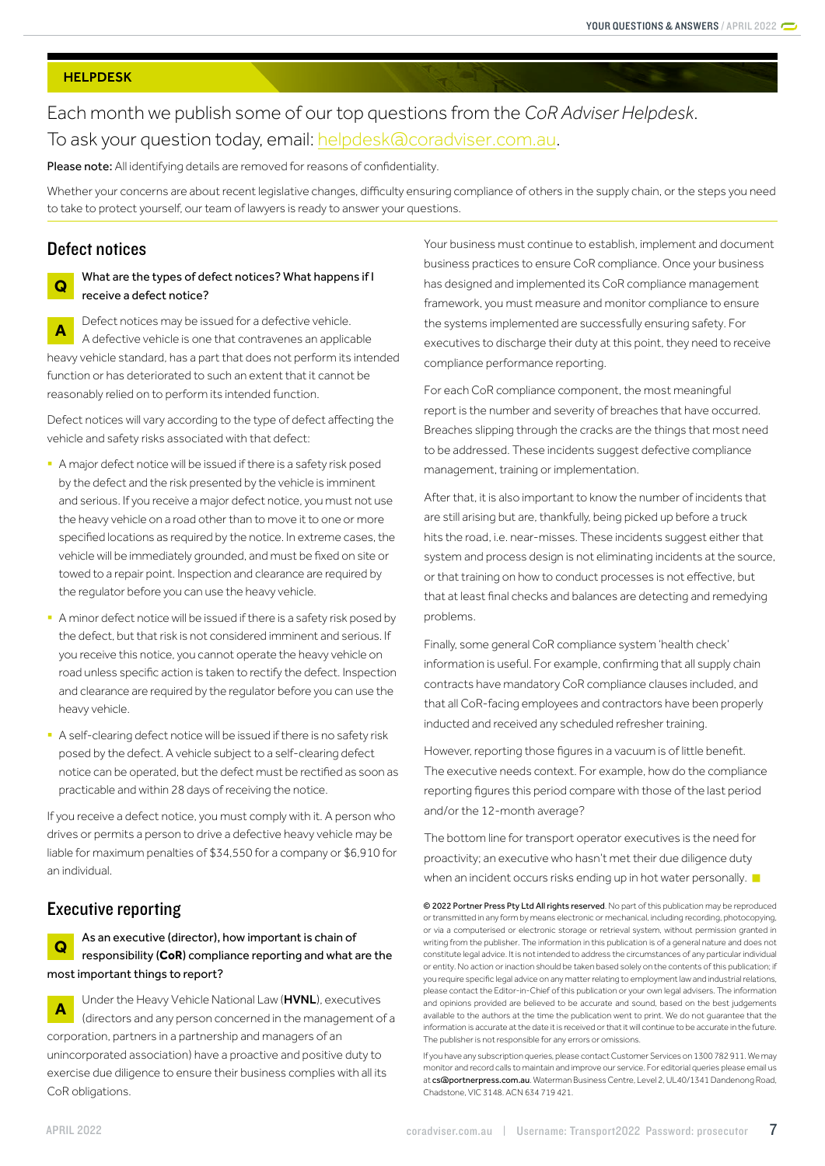#### <span id="page-6-0"></span>**HELPDESK**

# Each month we publish some of our top questions from the *CoR Adviser Helpdesk*. To ask your question today, email: [helpdesk@coradviser.com.au](mailto:helpdesk%40coradviser.com.au?subject=).

Please note: All identifying details are removed for reasons of confidentiality.

Whether your concerns are about recent legislative changes, difficulty ensuring compliance of others in the supply chain, or the steps you need to take to protect yourself, our team of lawyers is ready to answer your questions.

# Defect notices

# **Q** What are the types of defect notices? What happens if I receive a defect notice?

**A** Defect notices may be issued for a defective vehicle. A defective vehicle is one that contravenes an applicable heavy vehicle standard, has a part that does not perform its intended function or has deteriorated to such an extent that it cannot be reasonably relied on to perform its intended function.

Defect notices will vary according to the type of defect affecting the vehicle and safety risks associated with that defect:

- § A major defect notice will be issued if there is a safety risk posed by the defect and the risk presented by the vehicle is imminent and serious. If you receive a major defect notice, you must not use the heavy vehicle on a road other than to move it to one or more specified locations as required by the notice. In extreme cases, the vehicle will be immediately grounded, and must be fixed on site or towed to a repair point. Inspection and clearance are required by the regulator before you can use the heavy vehicle.
- A minor defect notice will be issued if there is a safety risk posed by the defect, but that risk is not considered imminent and serious. If you receive this notice, you cannot operate the heavy vehicle on road unless specific action is taken to rectify the defect. Inspection and clearance are required by the regulator before you can use the heavy vehicle.
- A self-clearing defect notice will be issued if there is no safety risk posed by the defect. A vehicle subject to a self-clearing defect notice can be operated, but the defect must be rectified as soon as practicable and within 28 days of receiving the notice.

If you receive a defect notice, you must comply with it. A person who drives or permits a person to drive a defective heavy vehicle may be liable for maximum penalties of \$34,550 for a company or \$6,910 for an individual.

# Executive reporting

**Q** As an executive (director), how important is chain of responsibility (**CoR**) compliance reporting and what are the most important things to report?

**A** Under the Heavy Vehicle National Law (HVNL), executives (directors and any person concerned in the management of a corporation, partners in a partnership and managers of an unincorporated association) have a proactive and positive duty to exercise due diligence to ensure their business complies with all its CoR obligations.

Your business must continue to establish, implement and document business practices to ensure CoR compliance. Once your business has designed and implemented its CoR compliance management framework, you must measure and monitor compliance to ensure the systems implemented are successfully ensuring safety. For executives to discharge their duty at this point, they need to receive compliance performance reporting.

For each CoR compliance component, the most meaningful report is the number and severity of breaches that have occurred. Breaches slipping through the cracks are the things that most need to be addressed. These incidents suggest defective compliance management, training or implementation.

After that, it is also important to know the number of incidents that are still arising but are, thankfully, being picked up before a truck hits the road, i.e. near-misses. These incidents suggest either that system and process design is not eliminating incidents at the source, or that training on how to conduct processes is not effective, but that at least final checks and balances are detecting and remedying problems.

Finally, some general CoR compliance system 'health check' information is useful. For example, confirming that all supply chain contracts have mandatory CoR compliance clauses included, and that all CoR-facing employees and contractors have been properly inducted and received any scheduled refresher training.

However, reporting those figures in a vacuum is of little benefit. The executive needs context. For example, how do the compliance reporting figures this period compare with those of the last period and/or the 12-month average?

The bottom line for transport operator executives is the need for proactivity; an executive who hasn't met their due diligence duty when an incident occurs risks ending up in hot water personally.

© 2022 Portner Press Pty Ltd All rights reserved. No part of this publication may be reproduced or transmitted in any form by means electronic or mechanical, including recording, photocopying, or via a computerised or electronic storage or retrieval system, without permission granted in writing from the publisher. The information in this publication is of a general nature and does not constitute legal advice. It is not intended to address the circumstances of any particular individual or entity. No action or inaction should be taken based solely on the contents of this publication; if you require specific legal advice on any matter relating to employment law and industrial relations, please contact the Editor-in-Chief of this publication or your own legal advisers. The information and opinions provided are believed to be accurate and sound, based on the best judgements available to the authors at the time the publication went to print. We do not guarantee that the information is accurate at the date it is received or that it will continue to be accurate in the future. The publisher is not responsible for any errors or omissions.

If you have any subscription queries, please contact Customer Services on 1300 782 911. We may monitor and record calls to maintain and improve our service. For editorial queries please email us at [cs@portnerpress.com.au](mailto:cs%40portnerpress.com.au?subject=). Waterman Business Centre, Level 2, UL40/1341 Dandenong Road, Chadstone, VIC 3148. ACN 634 719 421.